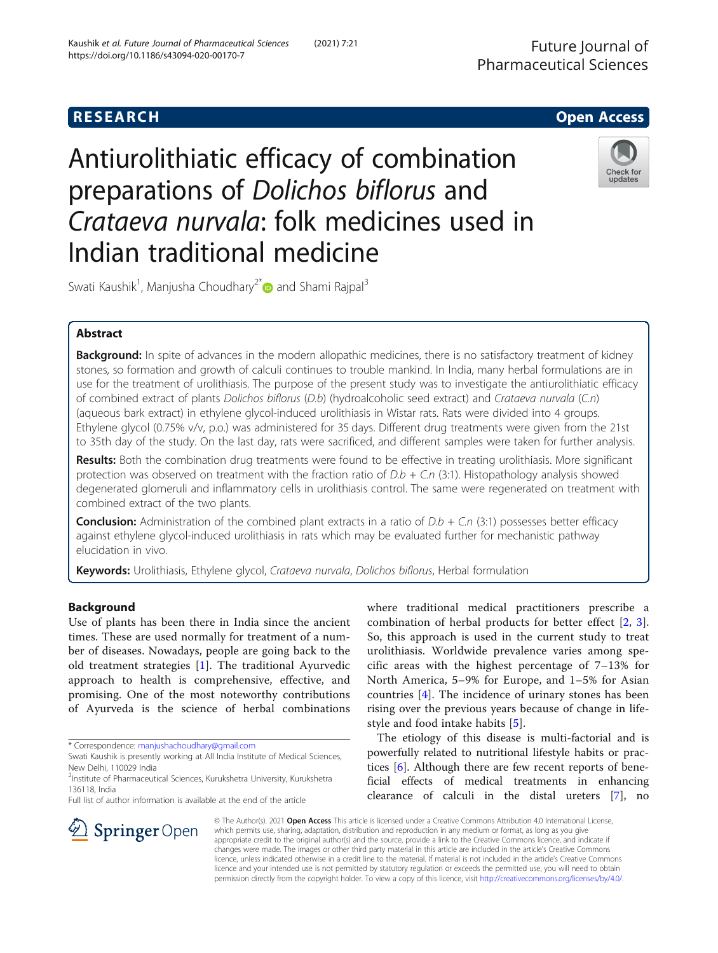https://doi.org/10.1186/s43094-020-00170-7

Antiurolithiatic efficacy of combination preparations of Dolichos biflorus and Crataeva nurvala: folk medicines used in Indian traditional medicine



Swati Kaushik<sup>1</sup>, Manjusha Choudhary<sup>2\*</sup> and Shami Rajpal<sup>3</sup>

Kaushik et al. Future Journal of Pharmaceutical Sciences (2021) 7:21

# Abstract

Background: In spite of advances in the modern allopathic medicines, there is no satisfactory treatment of kidney stones, so formation and growth of calculi continues to trouble mankind. In India, many herbal formulations are in use for the treatment of urolithiasis. The purpose of the present study was to investigate the antiurolithiatic efficacy of combined extract of plants Dolichos biflorus (D.b) (hydroalcoholic seed extract) and Crataeva nurvala (C.n) (aqueous bark extract) in ethylene glycol-induced urolithiasis in Wistar rats. Rats were divided into 4 groups. Ethylene glycol (0.75% v/v, p.o.) was administered for 35 days. Different drug treatments were given from the 21st to 35th day of the study. On the last day, rats were sacrificed, and different samples were taken for further analysis.

Results: Both the combination drug treatments were found to be effective in treating urolithiasis. More significant protection was observed on treatment with the fraction ratio of  $D.b + C.n$  (3:1). Histopathology analysis showed degenerated glomeruli and inflammatory cells in urolithiasis control. The same were regenerated on treatment with combined extract of the two plants.

**Conclusion:** Administration of the combined plant extracts in a ratio of  $D.b + C.n$  (3:1) possesses better efficacy against ethylene glycol-induced urolithiasis in rats which may be evaluated further for mechanistic pathway elucidation in vivo.

Keywords: Urolithiasis, Ethylene glycol, Crataeva nurvala, Dolichos biflorus, Herbal formulation

# Background

Use of plants has been there in India since the ancient times. These are used normally for treatment of a number of diseases. Nowadays, people are going back to the old treatment strategies [\[1](#page-6-0)]. The traditional Ayurvedic approach to health is comprehensive, effective, and promising. One of the most noteworthy contributions of Ayurveda is the science of herbal combinations

\* Correspondence: [manjushachoudhary@gmail.com](mailto:manjushachoudhary@gmail.com)

 $\mathscr{L}$  Springer Open

Full list of author information is available at the end of the article



The etiology of this disease is multi-factorial and is powerfully related to nutritional lifestyle habits or practices [[6\]](#page-6-0). Although there are few recent reports of beneficial effects of medical treatments in enhancing clearance of calculi in the distal ureters [\[7](#page-6-0)], no

© The Author(s). 2021 Open Access This article is licensed under a Creative Commons Attribution 4.0 International License, which permits use, sharing, adaptation, distribution and reproduction in any medium or format, as long as you give appropriate credit to the original author(s) and the source, provide a link to the Creative Commons licence, and indicate if changes were made. The images or other third party material in this article are included in the article's Creative Commons licence, unless indicated otherwise in a credit line to the material. If material is not included in the article's Creative Commons licence and your intended use is not permitted by statutory regulation or exceeds the permitted use, you will need to obtain permission directly from the copyright holder. To view a copy of this licence, visit <http://creativecommons.org/licenses/by/4.0/>.

Swati Kaushik is presently working at All India Institute of Medical Sciences, New Delhi, 110029 India

<sup>&</sup>lt;sup>2</sup>Institute of Pharmaceutical Sciences, Kurukshetra University, Kurukshetra 136118, India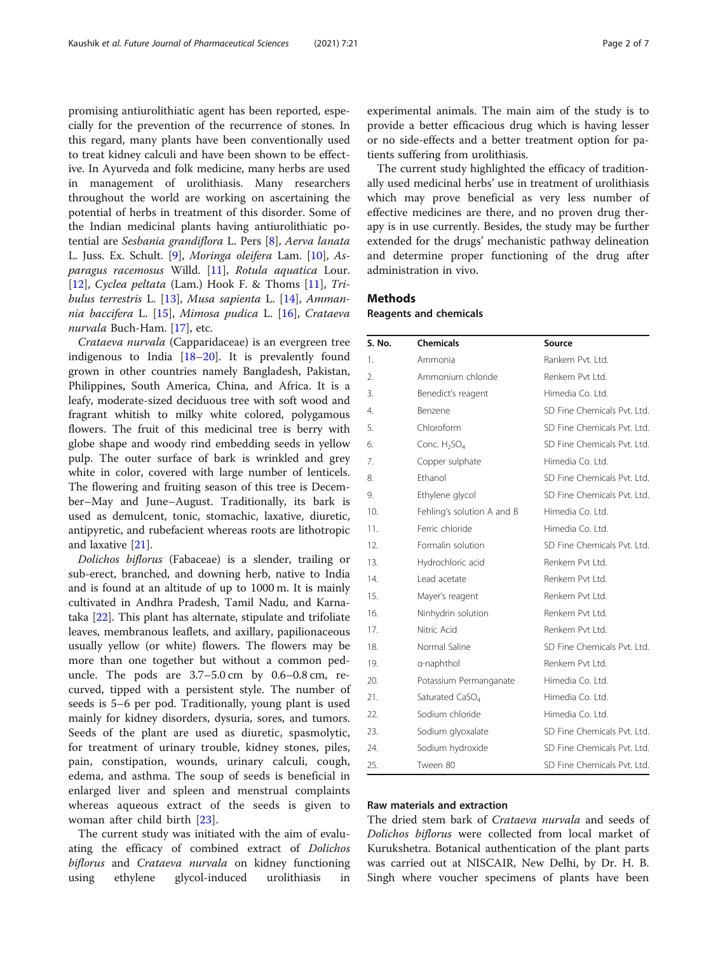promising antiurolithiatic agent has been reported, especially for the prevention of the recurrence of stones. In this regard, many plants have been conventionally used to treat kidney calculi and have been shown to be effective. In Ayurveda and folk medicine, many herbs are used in management of urolithiasis. Many researchers throughout the world are working on ascertaining the potential of herbs in treatment of this disorder. Some of the Indian medicinal plants having antiurolithiatic potential are Sesbania grandiflora L. Pers [\[8](#page-6-0)], Aerva lanata L. Juss. Ex. Schult. [[9\]](#page-6-0), Moringa oleifera Lam. [[10\]](#page-6-0), Asparagus racemosus Willd. [[11\]](#page-6-0), Rotula aquatica Lour. [[12\]](#page-6-0), Cyclea peltata (Lam.) Hook F. & Thoms [[11](#page-6-0)], Tribulus terrestris L. [\[13](#page-6-0)], Musa sapienta L. [\[14\]](#page-6-0), Ammannia baccifera L. [[15\]](#page-6-0), Mimosa pudica L. [[16](#page-6-0)], Crataeva nurvala Buch-Ham. [[17](#page-6-0)], etc.

Crataeva nurvala (Capparidaceae) is an evergreen tree indigenous to India [[18](#page-6-0)–[20](#page-6-0)]. It is prevalently found grown in other countries namely Bangladesh, Pakistan, Philippines, South America, China, and Africa. It is a leafy, moderate-sized deciduous tree with soft wood and fragrant whitish to milky white colored, polygamous flowers. The fruit of this medicinal tree is berry with globe shape and woody rind embedding seeds in yellow pulp. The outer surface of bark is wrinkled and grey white in color, covered with large number of lenticels. The flowering and fruiting season of this tree is December–May and June–August. Traditionally, its bark is used as demulcent, tonic, stomachic, laxative, diuretic, antipyretic, and rubefacient whereas roots are lithotropic and laxative [[21](#page-6-0)].

Dolichos biflorus (Fabaceae) is a slender, trailing or sub-erect, branched, and downing herb, native to India and is found at an altitude of up to 1000 m. It is mainly cultivated in Andhra Pradesh, Tamil Nadu, and Karnataka [[22\]](#page-6-0). This plant has alternate, stipulate and trifoliate leaves, membranous leaflets, and axillary, papilionaceous usually yellow (or white) flowers. The flowers may be more than one together but without a common peduncle. The pods are 3.7–5.0 cm by 0.6–0.8 cm, recurved, tipped with a persistent style. The number of seeds is 5–6 per pod. Traditionally, young plant is used mainly for kidney disorders, dysuria, sores, and tumors. Seeds of the plant are used as diuretic, spasmolytic, for treatment of urinary trouble, kidney stones, piles, pain, constipation, wounds, urinary calculi, cough, edema, and asthma. The soup of seeds is beneficial in enlarged liver and spleen and menstrual complaints whereas aqueous extract of the seeds is given to woman after child birth [[23\]](#page-6-0).

The current study was initiated with the aim of evaluating the efficacy of combined extract of Dolichos biflorus and Crataeva nurvala on kidney functioning using ethylene glycol-induced urolithiasis in experimental animals. The main aim of the study is to provide a better efficacious drug which is having lesser or no side-effects and a better treatment option for patients suffering from urolithiasis.

The current study highlighted the efficacy of traditionally used medicinal herbs' use in treatment of urolithiasis which may prove beneficial as very less number of effective medicines are there, and no proven drug therapy is in use currently. Besides, the study may be further extended for the drugs' mechanistic pathway delineation and determine proper functioning of the drug after administration in vivo.

# **Methods**

Reagents and chemicals

| S. No. | <b>Chemicals</b>                     | Source                      |
|--------|--------------------------------------|-----------------------------|
| 1.     | Ammonia                              | Rankem Pvt. Ltd.            |
| 2.     | Ammonium chloride                    | Renkem Pvt I td.            |
| 3.     | Benedict's reagent                   | Himedia Co. Ltd.            |
| 4.     | Benzene                              | SD Fine Chemicals Pvt. Ltd. |
| 5.     | Chloroform                           | SD Fine Chemicals Pvt. Ltd. |
| 6.     | Conc. H <sub>2</sub> SO <sub>4</sub> | SD Fine Chemicals Pvt. Ltd. |
| 7.     | Copper sulphate                      | Himedia Co. Ltd.            |
| 8.     | Ethanol                              | SD Fine Chemicals Pvt. Ltd. |
| 9.     | Ethylene glycol                      | SD Fine Chemicals Pvt. Ltd. |
| 10.    | Fehling's solution A and B           | Himedia Co. Ltd.            |
| 11.    | Ferric chloride                      | Himedia Co. Ltd.            |
| 12.    | Formalin solution                    | SD Fine Chemicals Pvt. Ltd. |
| 13.    | Hydrochloric acid                    | Renkem Pvt Ltd.             |
| 14.    | Lead acetate                         | Renkem Pvt I td.            |
| 15.    | Mayer's reagent                      | Renkem Pvt Ltd.             |
| 16.    | Ninhydrin solution                   | Renkem Pvt Ltd.             |
| 17.    | Nitric Acid                          | Renkem Pvt Ltd.             |
| 18.    | Normal Saline                        | SD Fine Chemicals Pvt. Ltd. |
| 19.    | a-naphthol                           | Renkem Pvt I td.            |
| 20.    | Potassium Permanganate               | Himedia Co. Ltd.            |
| 21.    | Saturated CaSO <sub>4</sub>          | Himedia Co. Ltd.            |
| 22.    | Sodium chloride                      | Himedia Co. Ltd.            |
| 23.    | Sodium glyoxalate                    | SD Fine Chemicals Pvt. Ltd. |
| 24.    | Sodium hydroxide                     | SD Fine Chemicals Pvt. Ltd. |
| 25.    | Tween 80                             | SD Fine Chemicals Pvt. Ltd. |

## Raw materials and extraction

The dried stem bark of Crataeva nurvala and seeds of Dolichos biflorus were collected from local market of Kurukshetra. Botanical authentication of the plant parts was carried out at NISCAIR, New Delhi, by Dr. H. B. Singh where voucher specimens of plants have been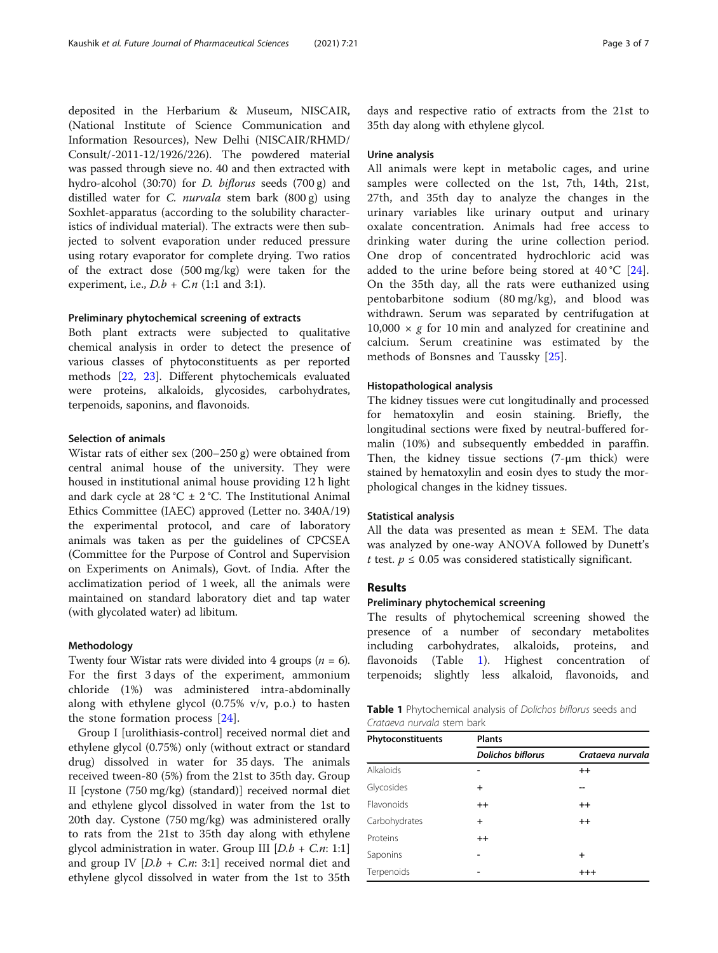<span id="page-2-0"></span>deposited in the Herbarium & Museum, NISCAIR, (National Institute of Science Communication and Information Resources), New Delhi (NISCAIR/RHMD/ Consult/-2011-12/1926/226). The powdered material was passed through sieve no. 40 and then extracted with hydro-alcohol (30:70) for D. biflorus seeds (700 g) and distilled water for C. nurvala stem bark (800 g) using Soxhlet-apparatus (according to the solubility characteristics of individual material). The extracts were then subjected to solvent evaporation under reduced pressure using rotary evaporator for complete drying. Two ratios of the extract dose (500 mg/kg) were taken for the experiment, i.e.,  $D.b + C.n$  (1:1 and 3:1).

### Preliminary phytochemical screening of extracts

Both plant extracts were subjected to qualitative chemical analysis in order to detect the presence of various classes of phytoconstituents as per reported methods [\[22,](#page-6-0) [23\]](#page-6-0). Different phytochemicals evaluated were proteins, alkaloids, glycosides, carbohydrates, terpenoids, saponins, and flavonoids.

## Selection of animals

Wistar rats of either sex (200–250 g) were obtained from central animal house of the university. They were housed in institutional animal house providing 12 h light and dark cycle at 28 °C  $\pm$  2 °C. The Institutional Animal Ethics Committee (IAEC) approved (Letter no. 340A/19) the experimental protocol, and care of laboratory animals was taken as per the guidelines of CPCSEA (Committee for the Purpose of Control and Supervision on Experiments on Animals), Govt. of India. After the acclimatization period of 1 week, all the animals were maintained on standard laboratory diet and tap water (with glycolated water) ad libitum.

## Methodology

Twenty four Wistar rats were divided into 4 groups  $(n = 6)$ . For the first 3 days of the experiment, ammonium chloride (1%) was administered intra-abdominally along with ethylene glycol (0.75% v/v, p.o.) to hasten the stone formation process [\[24](#page-6-0)].

Group I [urolithiasis-control] received normal diet and ethylene glycol (0.75%) only (without extract or standard drug) dissolved in water for 35 days. The animals received tween-80 (5%) from the 21st to 35th day. Group II [cystone (750 mg/kg) (standard)] received normal diet and ethylene glycol dissolved in water from the 1st to 20th day. Cystone (750 mg/kg) was administered orally to rats from the 21st to 35th day along with ethylene glycol administration in water. Group III  $[D.b + C.n: 1:1]$ and group IV  $[D.b + C.n: 3:1]$  received normal diet and ethylene glycol dissolved in water from the 1st to 35th

days and respective ratio of extracts from the 21st to 35th day along with ethylene glycol.

#### Urine analysis

All animals were kept in metabolic cages, and urine samples were collected on the 1st, 7th, 14th, 21st, 27th, and 35th day to analyze the changes in the urinary variables like urinary output and urinary oxalate concentration. Animals had free access to drinking water during the urine collection period. One drop of concentrated hydrochloric acid was added to the urine before being stored at  $40^{\circ}C$  [\[24](#page-6-0)]. On the 35th day, all the rats were euthanized using pentobarbitone sodium (80 mg/kg), and blood was withdrawn. Serum was separated by centrifugation at 10,000  $\times$  g for 10 min and analyzed for creatinine and calcium. Serum creatinine was estimated by the methods of Bonsnes and Taussky [[25\]](#page-6-0).

#### Histopathological analysis

The kidney tissues were cut longitudinally and processed for hematoxylin and eosin staining. Briefly, the longitudinal sections were fixed by neutral-buffered formalin (10%) and subsequently embedded in paraffin. Then, the kidney tissue sections (7-μm thick) were stained by hematoxylin and eosin dyes to study the morphological changes in the kidney tissues.

#### Statistical analysis

All the data was presented as mean  $\pm$  SEM. The data was analyzed by one-way ANOVA followed by Dunett's t test.  $p \le 0.05$  was considered statistically significant.

## Results

#### Preliminary phytochemical screening

The results of phytochemical screening showed the presence of a number of secondary metabolites including carbohydrates, alkaloids, proteins, and flavonoids (Table 1). Highest concentration of terpenoids; slightly less alkaloid, flavonoids, and

| Table 1 Phytochemical analysis of Dolichos biflorus seeds and |  |  |  |
|---------------------------------------------------------------|--|--|--|
| Crataeva nurvala stem bark                                    |  |  |  |

| Phytoconstituents | <b>Plants</b>            |                  |  |  |  |
|-------------------|--------------------------|------------------|--|--|--|
|                   | <b>Dolichos biflorus</b> | Crataeva nurvala |  |  |  |
| Alkaloids         |                          | $++$             |  |  |  |
| Glycosides        | $\ddot{}$                |                  |  |  |  |
| Flavonoids        | $++$                     | $++$             |  |  |  |
| Carbohydrates     | $\ddot{}$                | $++$             |  |  |  |
| Proteins          | $++$                     |                  |  |  |  |
| Saponins          |                          | $\ddot{}$        |  |  |  |
| Terpenoids        |                          | $^{+++}$         |  |  |  |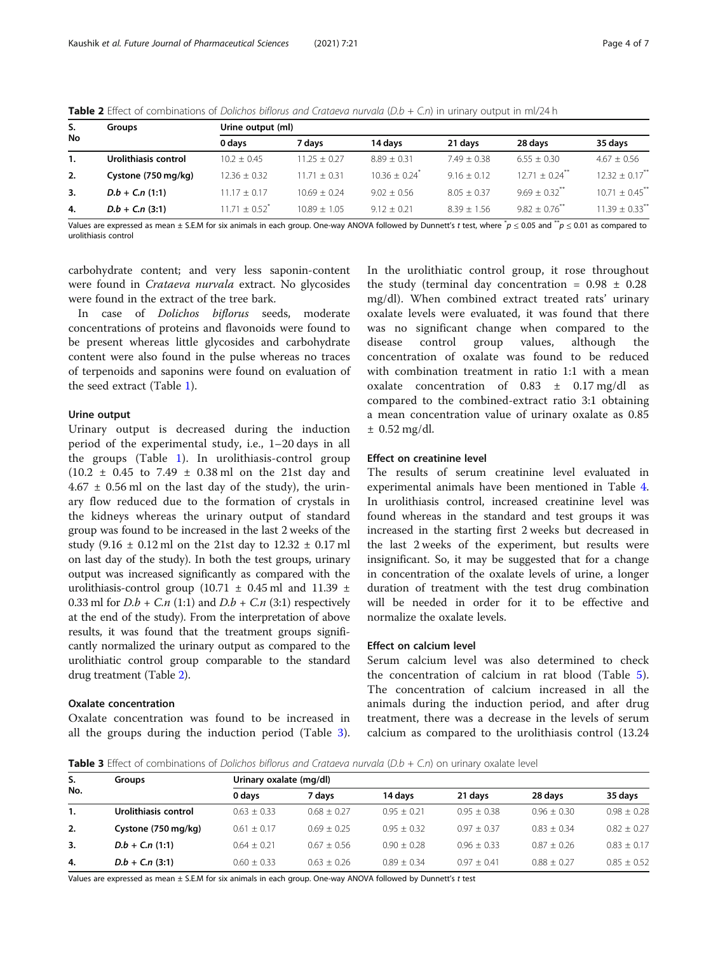| S.<br>No | <b>Groups</b>        | Urine output (ml) |                |                             |               |                              |                                |  |
|----------|----------------------|-------------------|----------------|-----------------------------|---------------|------------------------------|--------------------------------|--|
|          |                      | 0 days            | 7 davs         | 14 davs                     | 21 days       | 28 days                      | 35 days                        |  |
| 1.       | Urolithiasis control | $10.2 + 0.45$     | $11.25 + 0.27$ | $8.89 + 0.31$               | $7.49 + 0.38$ | $6.55 + 0.30$                | $4.67 + 0.56$                  |  |
| 2.       | Cystone (750 mg/kg)  | $12.36 \pm 0.32$  | $11.71 + 0.31$ | $10.36 + 0.24$ <sup>*</sup> | $9.16 + 0.12$ | $12.71 + 0.24$ <sup>**</sup> | $12.32 \pm 0.17$ <sup>**</sup> |  |
| 3.       | $D.b + C.n(1:1)$     | $11.17 + 0.17$    | $10.69 + 0.24$ | $9.02 + 0.56$               | $8.05 + 0.37$ | $9.69 + 0.32$ <sup>**</sup>  | $10.71 + 0.45$ **              |  |
| 4.       | $D.b + C.n(3:1)$     | $1171 + 052$      | $10.89 + 1.05$ | $9.12 + 0.21$               | $8.39 + 1.56$ | $982 + 076$                  | $11.39 + 0.33$ <sup>**</sup>   |  |
|          |                      |                   |                |                             | _____         |                              |                                |  |

Table 2 Effect of combinations of Dolichos biflorus and Crataeva nurvala ( $D.b + C.n$ ) in urinary output in ml/24 h

Values are expressed as mean ± S.E.M for six animals in each group. One-way ANOVA followed by Dunnett's t test, where  $^*p \leq 0.05$  and  $^{*p} \leq 0.01$  as compared to urolithiasis control

carbohydrate content; and very less saponin-content were found in Crataeva nurvala extract. No glycosides were found in the extract of the tree bark.

In case of Dolichos biflorus seeds, moderate concentrations of proteins and flavonoids were found to be present whereas little glycosides and carbohydrate content were also found in the pulse whereas no traces of terpenoids and saponins were found on evaluation of the seed extract (Table [1](#page-2-0)).

### Urine output

Urinary output is decreased during the induction period of the experimental study, i.e., 1–20 days in all the groups (Table [1](#page-2-0)). In urolithiasis-control group  $(10.2 \pm 0.45 \text{ to } 7.49 \pm 0.38 \text{ ml} \text{ on the } 21 \text{st day and }$  $4.67 \pm 0.56$  ml on the last day of the study), the urinary flow reduced due to the formation of crystals in the kidneys whereas the urinary output of standard group was found to be increased in the last 2 weeks of the study (9.16 ± 0.12 ml on the 21st day to 12.32 ± 0.17 ml on last day of the study). In both the test groups, urinary output was increased significantly as compared with the urolithiasis-control group (10.71  $\pm$  0.45 ml and 11.39  $\pm$ 0.33 ml for  $D.b + C.n$  (1:1) and  $D.b + C.n$  (3:1) respectively at the end of the study). From the interpretation of above results, it was found that the treatment groups significantly normalized the urinary output as compared to the urolithiatic control group comparable to the standard drug treatment (Table 2).

### Oxalate concentration

Oxalate concentration was found to be increased in all the groups during the induction period (Table 3).

In the urolithiatic control group, it rose throughout the study (terminal day concentration =  $0.98 \pm 0.28$ mg/dl). When combined extract treated rats' urinary oxalate levels were evaluated, it was found that there was no significant change when compared to the disease control group values, although the concentration of oxalate was found to be reduced with combination treatment in ratio 1:1 with a mean oxalate concentration of  $0.83 \pm 0.17$  mg/dl as compared to the combined-extract ratio 3:1 obtaining a mean concentration value of urinary oxalate as 0.85  $±$  0.52 mg/dl.

### Effect on creatinine level

The results of serum creatinine level evaluated in experimental animals have been mentioned in Table [4](#page-4-0). In urolithiasis control, increased creatinine level was found whereas in the standard and test groups it was increased in the starting first 2 weeks but decreased in the last 2 weeks of the experiment, but results were insignificant. So, it may be suggested that for a change in concentration of the oxalate levels of urine, a longer duration of treatment with the test drug combination will be needed in order for it to be effective and normalize the oxalate levels.

## Effect on calcium level

Serum calcium level was also determined to check the concentration of calcium in rat blood (Table [5](#page-4-0)). The concentration of calcium increased in all the animals during the induction period, and after drug treatment, there was a decrease in the levels of serum calcium as compared to the urolithiasis control (13.24

**Table 3** Effect of combinations of Dolichos biflorus and Crataeva nurvala ( $D.b + C.n$ ) on urinary oxalate level

| S.<br>No. | Groups               | Urinary oxalate (mg/dl) |               |               |               |               |                 |  |
|-----------|----------------------|-------------------------|---------------|---------------|---------------|---------------|-----------------|--|
|           |                      | 0 days                  | 7 davs        | 14 davs       | 21 days       | 28 days       | 35 days         |  |
| 1.        | Urolithiasis control | $0.63 + 0.33$           | $0.68 + 0.27$ | $0.95 + 0.21$ | $0.95 + 0.38$ | $0.96 + 0.30$ | $0.98 \pm 0.28$ |  |
| 2.        | Cystone (750 mg/kg)  | $0.61 \pm 0.17$         | $0.69 + 0.25$ | $0.95 + 0.32$ | $0.97 + 0.37$ | $0.83 + 0.34$ | $0.82 \pm 0.27$ |  |
| 3.        | $D.b + C.n(1:1)$     | $0.64 + 0.21$           | $0.67 + 0.56$ | $0.90 + 0.28$ | $0.96 + 0.33$ | $0.87 + 0.26$ | $0.83 + 0.17$   |  |
| 4.        | $D.b + C.n(3:1)$     | $0.60 + 0.33$           | $0.63 + 0.26$ | $0.89 + 0.34$ | $0.97 + 0.41$ | $0.88 + 0.27$ | $0.85 + 0.52$   |  |

Values are expressed as mean ± S.E.M for six animals in each group. One-way ANOVA followed by Dunnett's t test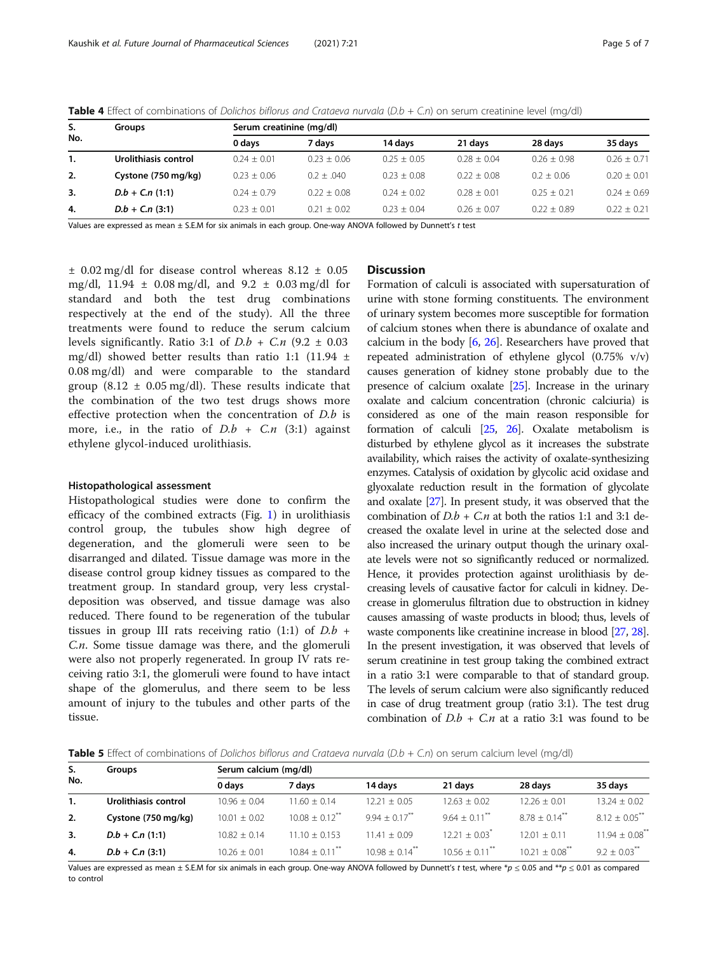| S.<br>No. | <b>Groups</b>        | Serum creatinine (mg/dl) |               |               |               |               |               |  |
|-----------|----------------------|--------------------------|---------------|---------------|---------------|---------------|---------------|--|
|           |                      | 0 days                   | 7 davs        | 14 davs       | 21 days       | 28 days       | 35 days       |  |
| 1.        | Urolithiasis control | $0.24 + 0.01$            | $0.23 + 0.06$ | $0.25 + 0.05$ | $0.28 + 0.04$ | $0.26 + 0.98$ | $0.26 + 0.71$ |  |
| 2.        | Cystone (750 mg/kg)  | $0.23 + 0.06$            | $0.2 + 0.040$ | $0.23 + 0.08$ | $0.22 + 0.08$ | $0.2 + 0.06$  | $0.20 + 0.01$ |  |
| 3.        | $D.b + C.n(1:1)$     | $0.24 + 0.79$            | $0.22 + 0.08$ | $0.24 + 0.02$ | $0.28 + 0.01$ | $0.25 + 0.21$ | $0.24 + 0.69$ |  |
| 4.        | $D.b + C.n(3:1)$     | $0.23 + 0.01$            | $0.21 + 0.02$ | $0.23 + 0.04$ | $0.26 + 0.07$ | $0.22 + 0.89$ | $0.22 + 0.21$ |  |
|           |                      |                          |               |               |               |               |               |  |

<span id="page-4-0"></span>Table 4 Effect of combinations of Dolichos biflorus and Crataeva nurvala (D.b + C.n) on serum creatinine level (mg/dl)

Values are expressed as mean ± S.E.M for six animals in each group. One-way ANOVA followed by Dunnett's t test

 $\pm$  0.02 mg/dl for disease control whereas 8.12  $\pm$  0.05 mg/dl,  $11.94 \pm 0.08$  mg/dl, and  $9.2 \pm 0.03$  mg/dl for standard and both the test drug combinations respectively at the end of the study). All the three treatments were found to reduce the serum calcium levels significantly. Ratio 3:1 of  $D.b + C.n$  (9.2  $\pm$  0.03 mg/dl) showed better results than ratio 1:1 (11.94  $\pm$ 0.08 mg/dl) and were comparable to the standard group (8.12  $\pm$  0.05 mg/dl). These results indicate that the combination of the two test drugs shows more effective protection when the concentration of D.b is more, i.e., in the ratio of  $D.b + C.n$  (3:1) against ethylene glycol-induced urolithiasis.

#### Histopathological assessment

Histopathological studies were done to confirm the efficacy of the combined extracts (Fig. [1\)](#page-5-0) in urolithiasis control group, the tubules show high degree of degeneration, and the glomeruli were seen to be disarranged and dilated. Tissue damage was more in the disease control group kidney tissues as compared to the treatment group. In standard group, very less crystaldeposition was observed, and tissue damage was also reduced. There found to be regeneration of the tubular tissues in group III rats receiving ratio  $(1:1)$  of  $D.b +$ C.n. Some tissue damage was there, and the glomeruli were also not properly regenerated. In group IV rats receiving ratio 3:1, the glomeruli were found to have intact shape of the glomerulus, and there seem to be less amount of injury to the tubules and other parts of the tissue.

## **Discussion**

Formation of calculi is associated with supersaturation of urine with stone forming constituents. The environment of urinary system becomes more susceptible for formation of calcium stones when there is abundance of oxalate and calcium in the body  $[6, 26]$  $[6, 26]$  $[6, 26]$  $[6, 26]$ . Researchers have proved that repeated administration of ethylene glycol (0.75% v/v) causes generation of kidney stone probably due to the presence of calcium oxalate [[25](#page-6-0)]. Increase in the urinary oxalate and calcium concentration (chronic calciuria) is considered as one of the main reason responsible for formation of calculi [\[25,](#page-6-0) [26\]](#page-6-0). Oxalate metabolism is disturbed by ethylene glycol as it increases the substrate availability, which raises the activity of oxalate-synthesizing enzymes. Catalysis of oxidation by glycolic acid oxidase and glyoxalate reduction result in the formation of glycolate and oxalate [\[27\]](#page-6-0). In present study, it was observed that the combination of  $D.b + C.n$  at both the ratios 1:1 and 3:1 decreased the oxalate level in urine at the selected dose and also increased the urinary output though the urinary oxalate levels were not so significantly reduced or normalized. Hence, it provides protection against urolithiasis by decreasing levels of causative factor for calculi in kidney. Decrease in glomerulus filtration due to obstruction in kidney causes amassing of waste products in blood; thus, levels of waste components like creatinine increase in blood [\[27](#page-6-0), [28](#page-6-0)]. In the present investigation, it was observed that levels of serum creatinine in test group taking the combined extract in a ratio 3:1 were comparable to that of standard group. The levels of serum calcium were also significantly reduced in case of drug treatment group (ratio 3:1). The test drug combination of  $D.b + C.n$  at a ratio 3:1 was found to be

**Table 5** Effect of combinations of Dolichos biflorus and Crataeva nurvala ( $D.b + C.n$ ) on serum calcium level (mg/dl)

| S.<br>No. | Groups               | Serum calcium (mg/dl) |                              |                              |                              |                              |                                |  |
|-----------|----------------------|-----------------------|------------------------------|------------------------------|------------------------------|------------------------------|--------------------------------|--|
|           |                      | 0 days                | 7 davs                       | 14 davs                      | 21 davs                      | 28 days                      | 35 davs                        |  |
| 1.        | Urolithiasis control | $10.96 + 0.04$        | $11.60 + 0.14$               | $12.21 + 0.05$               | $12.63 + 0.02$               | $12.26 + 0.01$               | $13.24 + 0.02$                 |  |
| 2.        | Cystone (750 mg/kg)  | $10.01 \pm 0.02$      | $10.08 + 0.12$ <sup>**</sup> | $9.94 + 0.17$ <sup>**</sup>  | $964 + 011$                  | $878 + 014$                  | $8.12 + 0.05$ <sup>**</sup>    |  |
| 3.        | $D.b + C.n(1:1)$     | $10.82 \pm 0.14$      | $11.10 + 0.153$              | $11.41 + 0.09$               | $12.21 + 0.03$ <sup>*</sup>  | $12.01 + 0.11$               | $11.94 \pm 0.08$ <sup>**</sup> |  |
| 4.        | $D.b + C.n(3:1)$     | $10.26 + 0.01$        | $10.84 + 0.11$ <sup>**</sup> | $10.98 + 0.14$ <sup>**</sup> | $10.56 + 0.11$ <sup>**</sup> | $10.21 + 0.08$ <sup>**</sup> | $9.2 + 0.03$ <sup>***</sup>    |  |

Values are expressed as mean ± S.E.M for six animals in each group. One-way ANOVA followed by Dunnett's t test, where \*p  $\leq 0.05$  and \*\*p  $\leq 0.01$  as compared to control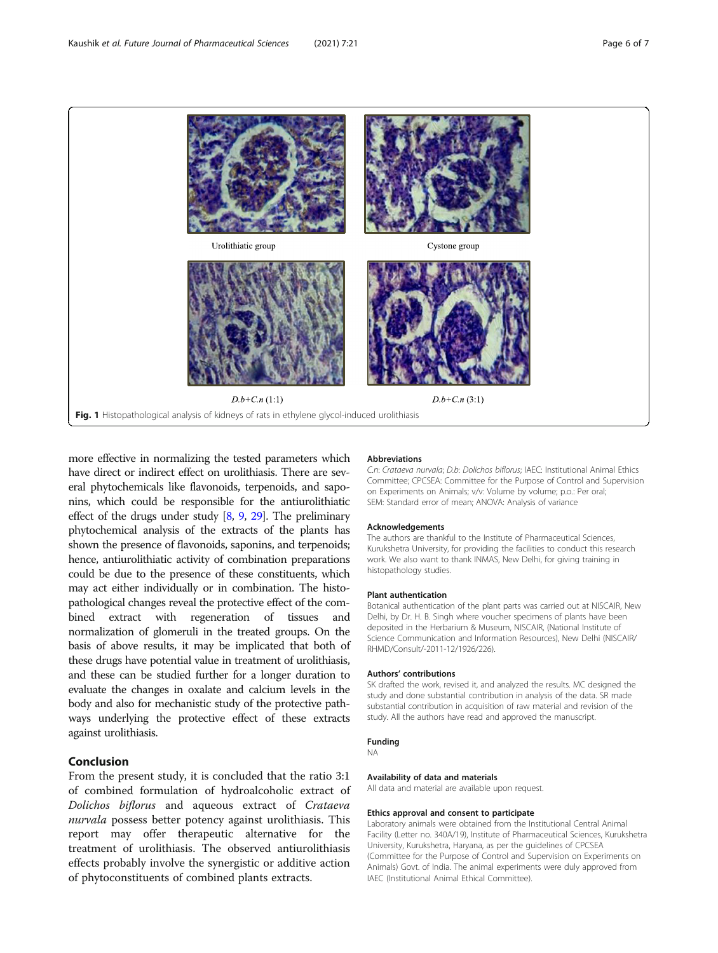<span id="page-5-0"></span>

more effective in normalizing the tested parameters which have direct or indirect effect on urolithiasis. There are several phytochemicals like flavonoids, terpenoids, and saponins, which could be responsible for the antiurolithiatic effect of the drugs under study [[8](#page-6-0), [9,](#page-6-0) [29\]](#page-6-0). The preliminary phytochemical analysis of the extracts of the plants has shown the presence of flavonoids, saponins, and terpenoids; hence, antiurolithiatic activity of combination preparations could be due to the presence of these constituents, which may act either individually or in combination. The histopathological changes reveal the protective effect of the combined extract with regeneration of tissues and normalization of glomeruli in the treated groups. On the basis of above results, it may be implicated that both of these drugs have potential value in treatment of urolithiasis, and these can be studied further for a longer duration to evaluate the changes in oxalate and calcium levels in the body and also for mechanistic study of the protective pathways underlying the protective effect of these extracts against urolithiasis.

## Conclusion

From the present study, it is concluded that the ratio 3:1 of combined formulation of hydroalcoholic extract of Dolichos biflorus and aqueous extract of Crataeva nurvala possess better potency against urolithiasis. This report may offer therapeutic alternative for the treatment of urolithiasis. The observed antiurolithiasis effects probably involve the synergistic or additive action of phytoconstituents of combined plants extracts.

#### **Abbreviations**

C.n: Crataeva nurvala; D.b: Dolichos biflorus; IAEC: Institutional Animal Ethics Committee; CPCSEA: Committee for the Purpose of Control and Supervision on Experiments on Animals; v/v: Volume by volume; p.o.: Per oral; SEM: Standard error of mean; ANOVA: Analysis of variance

#### Acknowledgements

The authors are thankful to the Institute of Pharmaceutical Sciences, Kurukshetra University, for providing the facilities to conduct this research work. We also want to thank INMAS, New Delhi, for giving training in histopathology studies.

#### Plant authentication

Botanical authentication of the plant parts was carried out at NISCAIR, New Delhi, by Dr. H. B. Singh where voucher specimens of plants have been deposited in the Herbarium & Museum, NISCAIR, (National Institute of Science Communication and Information Resources), New Delhi (NISCAIR/ RHMD/Consult/-2011-12/1926/226).

#### Authors' contributions

SK drafted the work, revised it, and analyzed the results. MC designed the study and done substantial contribution in analysis of the data. SR made substantial contribution in acquisition of raw material and revision of the study. All the authors have read and approved the manuscript.

#### Funding

NA

#### Availability of data and materials All data and material are available upon request.

## Ethics approval and consent to participate

Laboratory animals were obtained from the Institutional Central Animal Facility (Letter no. 340A/19), Institute of Pharmaceutical Sciences, Kurukshetra University, Kurukshetra, Haryana, as per the guidelines of CPCSEA (Committee for the Purpose of Control and Supervision on Experiments on Animals) Govt. of India. The animal experiments were duly approved from IAEC (Institutional Animal Ethical Committee).